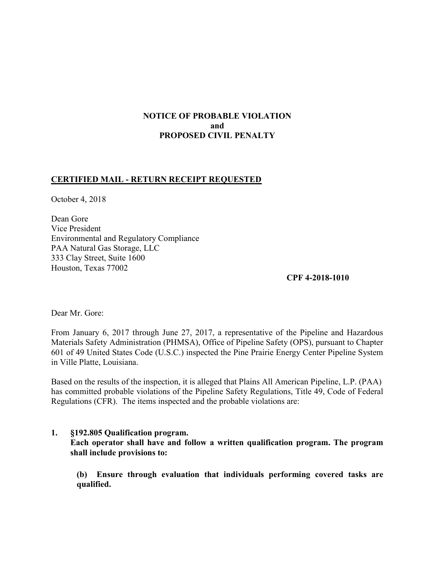# NOTICE OF PROBABLE VIOLATION and PROPOSED CIVIL PENALTY

## CERTIFIED MAIL - RETURN RECEIPT REQUESTED

October 4, 2018

 Dean Gore Vice President Environmental and Regulatory Compliance PAA Natural Gas Storage, LLC 333 Clay Street, Suite 1600 Houston, Texas 77002

CPF 4-2018-1010

Dear Mr. Gore:

 From January 6, 2017 through June 27, 2017, a representative of the Pipeline and Hazardous Materials Safety Administration (PHMSA), Office of Pipeline Safety (OPS), pursuant to Chapter 601 of 49 United States Code (U.S.C.) inspected the Pine Prairie Energy Center Pipeline System in Ville Platte, Louisiana.

 Based on the results of the inspection, it is alleged that Plains All American Pipeline, L.P. (PAA) has committed probable violations of the Pipeline Safety Regulations, Title 49, Code of Federal Regulations (CFR). The items inspected and the probable violations are:

## 1. §192.805 Qualification program.

 Each operator shall have and follow a written qualification program. The program shall include provisions to:

 qualified.(b) Ensure through evaluation that individuals performing covered tasks are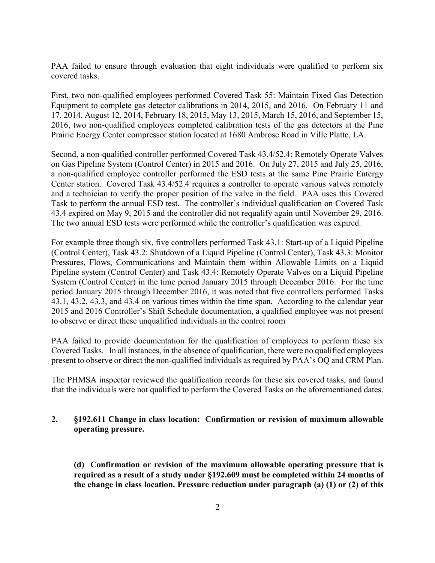PAA failed to ensure through evaluation that eight individuals were qualified to perform six covered tasks.

 First, two non-qualified employees performed Covered Task 55: Maintain Fixed Gas Detection Equipment to complete gas detector calibrations in 2014, 2015, and 2016. On February 11 and 17, 2014, August 12, 2014, February 18, 2015, May 13, 2015, March 15, 2016, and September 15, 2016, two non-qualified employees completed calibration tests of the gas detectors at the Pine Prairie Energy Center compressor station located at 1680 Ambrose Road in Ville Platte, LA.

 Second, a non-qualified controller performed Covered Task 43.4/52.4: Remotely Operate Valves on Gas Pipeline System (Control Center) in 2015 and 2016. On July 27, 2015 and July 25, 2016, a non-qualified employee controller performed the ESD tests at the same Pine Prairie Entergy Center station. Covered Task 43.4/52.4 requires a controller to operate various valves remotely and a technician to verify the proper position of the valve in the field. PAA uses this Covered Task to perform the annual ESD test. The controller's individual qualification on Covered Task 43.4 expired on May 9, 2015 and the controller did not requalify again until November 29, 2016. The two annual ESD tests were performed while the controller's qualification was expired.

 For example three though six, five controllers performed Task 43.1: Start-up of a Liquid Pipeline (Control Center), Task 43.2: Shutdown of a Liquid Pipeline (Control Center), Task 43.3: Monitor Pressures, Flows, Communications and Maintain them within Allowable Limits on a Liquid Pipeline system (Control Center) and Task 43.4: Remotely Operate Valves on a Liquid Pipeline System (Control Center) in the time period January 2015 through December 2016. For the time period January 2015 through December 2016, it was noted that five controllers performed Tasks 43.1, 43.2, 43.3, and 43.4 on various times within the time span. According to the calendar year 2015 and 2016 Controller's Shift Schedule documentation, a qualified employee was not present to observe or direct these unqualified individuals in the control room

 PAA failed to provide documentation for the qualification of employees to perform these six Covered Tasks. In all instances, in the absence of qualification, there were no qualified employees present to observe or direct the non-qualified individuals as required by PAA's OQ and CRM Plan.

 The PHMSA inspector reviewed the qualification records for these six covered tasks, and found that the individuals were not qualified to perform the Covered Tasks on the aforementioned dates.

### 2. §192.611 Change in class location: Confirmation or revision of maximum allowable operating pressure.

 (d) Confirmation or revision of the maximum allowable operating pressure that is required as a result of a study under §192.609 must be completed within 24 months of the change in class location. Pressure reduction under paragraph (a) (1) or (2) of this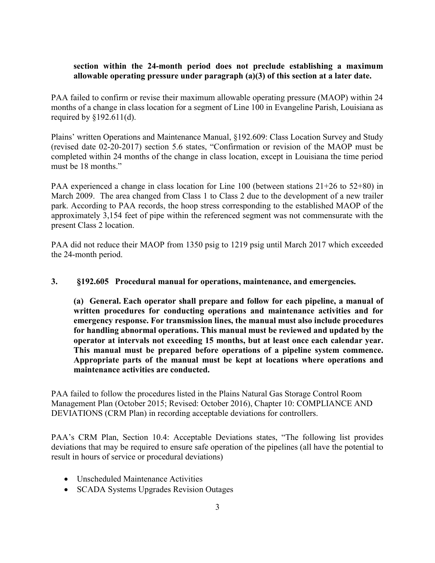### section within the 24-month period does not preclude establishing a maximum allowable operating pressure under paragraph (a)(3) of this section at a later date.

 PAA failed to confirm or revise their maximum allowable operating pressure (MAOP) within 24 months of a change in class location for a segment of Line 100 in Evangeline Parish, Louisiana as required by §192.611(d).

 Plains' written Operations and Maintenance Manual, §192.609: Class Location Survey and Study (revised date 02-20-2017) section 5.6 states, "Confirmation or revision of the MAOP must be completed within 24 months of the change in class location, except in Louisiana the time period must be 18 months."

 PAA experienced a change in class location for Line 100 (between stations 21+26 to 52+80) in March 2009. The area changed from Class 1 to Class 2 due to the development of a new trailer park. According to PAA records, the hoop stress corresponding to the established MAOP of the approximately 3,154 feet of pipe within the referenced segment was not commensurate with the present Class 2 location.

 PAA did not reduce their MAOP from 1350 psig to 1219 psig until March 2017 which exceeded the 24-month period.

3. §192.605 Procedural manual for operations, maintenance, and emergencies.

 (a) General. Each operator shall prepare and follow for each pipeline, a manual of written procedures for conducting operations and maintenance activities and for emergency response. For transmission lines, the manual must also include procedures for handling abnormal operations. This manual must be reviewed and updated by the operator at intervals not exceeding 15 months, but at least once each calendar year. This manual must be prepared before operations of a pipeline system commence. Appropriate parts of the manual must be kept at locations where operations and maintenance activities are conducted.

 PAA failed to follow the procedures listed in the Plains Natural Gas Storage Control Room Management Plan (October 2015; Revised: October 2016), Chapter 10: COMPLIANCE AND DEVIATIONS (CRM Plan) in recording acceptable deviations for controllers.

 PAA's CRM Plan, Section 10.4: Acceptable Deviations states, "The following list provides deviations that may be required to ensure safe operation of the pipelines (all have the potential to result in hours of service or procedural deviations)

- Unscheduled Maintenance Activities
- SCADA Systems Upgrades Revision Outages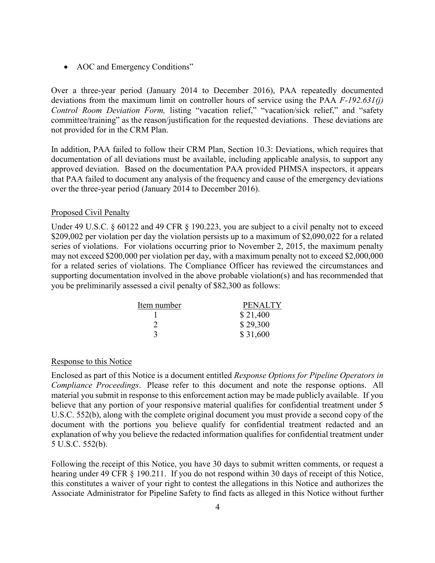• AOC and Emergency Conditions"

 Over a three-year period (January 2014 to December 2016), PAA repeatedly documented deviations from the maximum limit on controller hours of service using the PAA  $F-192.631(j)$ Control Room Deviation Form, listing "vacation relief," "vacation/sick relief," and "safety committee/training" as the reason/justification for the requested deviations. These deviations are not provided for in the CRM Plan.

 In addition, PAA failed to follow their CRM Plan, Section 10.3: Deviations, which requires that documentation of all deviations must be available, including applicable analysis, to support any approved deviation. Based on the documentation PAA provided PHMSA inspectors, it appears that PAA failed to document any analysis of the frequency and cause of the emergency deviations over the three-year period (January 2014 to December 2016).

#### Proposed Civil Penalty

Under 49 U.S.C. § 60122 and 49 CFR § 190.223, you are subject to a civil penalty not to exceed \$209,002 per violation per day the violation persists up to a maximum of \$2,090,022 for a related series of violations. For violations occurring prior to November 2, 2015, the maximum penalty may not exceed \$200,000 per violation per day, with a maximum penalty not to exceed \$2,000,000 for a related series of violations. The Compliance Officer has reviewed the circumstances and supporting documentation involved in the above probable violation(s) and has recommended that you be preliminarily assessed a civil penalty of \$82,300 as follows:

| Item number | <b>PENALTY</b> |
|-------------|----------------|
|             | \$21,400       |
|             | \$29,300       |
|             | \$31,600       |

#### Response to this Notice

 Enclosed as part of this Notice is a document entitled Response Options for Pipeline Operators in Compliance Proceedings. Please refer to this document and note the response options. All material you submit in response to this enforcement action may be made publicly available. If you believe that any portion of your responsive material qualifies for confidential treatment under 5 U.S.C. 552(b), along with the complete original document you must provide a second copy of the document with the portions you believe qualify for confidential treatment redacted and an explanation of why you believe the redacted information qualifies for confidential treatment under 5 U.S.C. 552(b).

 Following the receipt of this Notice, you have 30 days to submit written comments, or request a hearing under 49 CFR § 190.211. If you do not respond within 30 days of receipt of this Notice, this constitutes a waiver of your right to contest the allegations in this Notice and authorizes the Associate Administrator for Pipeline Safety to find facts as alleged in this Notice without further